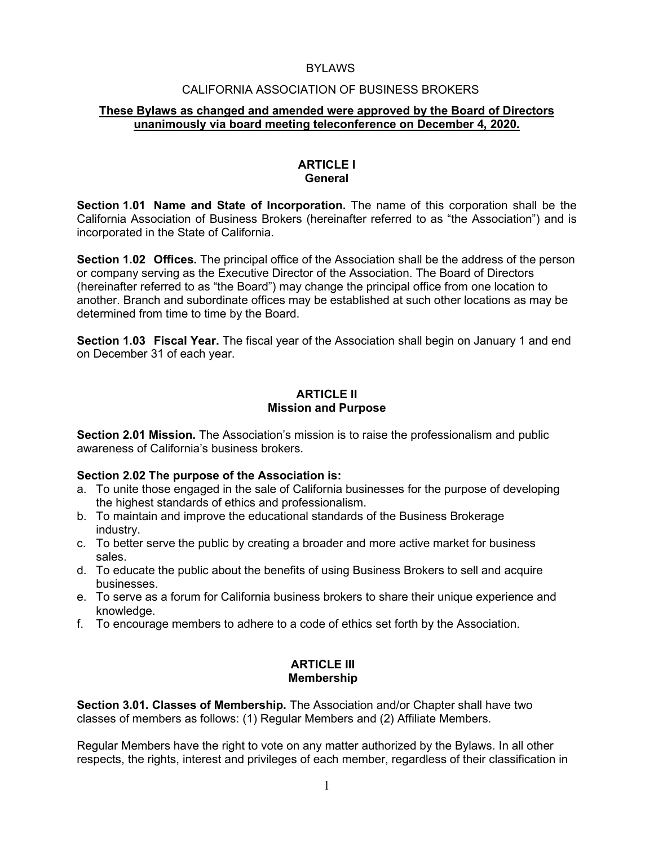#### **BYLAWS**

#### CALIFORNIA ASSOCIATION OF BUSINESS BROKERS

#### **These Bylaws as changed and amended were approved by the Board of Directors unanimously via board meeting teleconference on December 4, 2020.**

#### **ARTICLE I General**

**Section 1.01 Name and State of Incorporation.** The name of this corporation shall be the California Association of Business Brokers (hereinafter referred to as "the Association") and is incorporated in the State of California.

**Section 1.02 Offices.** The principal office of the Association shall be the address of the person or company serving as the Executive Director of the Association. The Board of Directors (hereinafter referred to as "the Board") may change the principal office from one location to another. Branch and subordinate offices may be established at such other locations as may be determined from time to time by the Board.

**Section 1.03 Fiscal Year.** The fiscal year of the Association shall begin on January 1 and end on December 31 of each year.

#### **ARTICLE II Mission and Purpose**

**Section 2.01 Mission.** The Association's mission is to raise the professionalism and public awareness of California's business brokers.

#### **Section 2.02 The purpose of the Association is:**

- a. To unite those engaged in the sale of California businesses for the purpose of developing the highest standards of ethics and professionalism.
- b. To maintain and improve the educational standards of the Business Brokerage industry.
- c. To better serve the public by creating a broader and more active market for business sales.
- d. To educate the public about the benefits of using Business Brokers to sell and acquire businesses.
- e. To serve as a forum for California business brokers to share their unique experience and knowledge.
- f. To encourage members to adhere to a code of ethics set forth by the Association.

#### **ARTICLE III Membership**

**Section 3.01. Classes of Membership.** The Association and/or Chapter shall have two classes of members as follows: (1) Regular Members and (2) Affiliate Members.

Regular Members have the right to vote on any matter authorized by the Bylaws. In all other respects, the rights, interest and privileges of each member, regardless of their classification in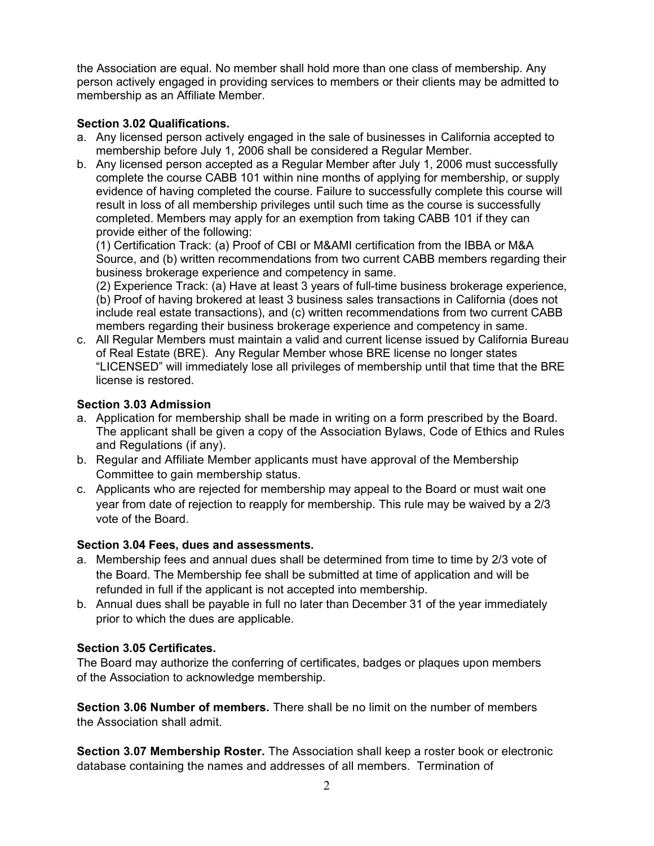the Association are equal. No member shall hold more than one class of membership. Any person actively engaged in providing services to members or their clients may be admitted to membership as an Affiliate Member.

### **Section 3.02 Qualifications.**

- a. Any licensed person actively engaged in the sale of businesses in California accepted to membership before July 1, 2006 shall be considered a Regular Member.
- b. Any licensed person accepted as a Regular Member after July 1, 2006 must successfully complete the course CABB 101 within nine months of applying for membership, or supply evidence of having completed the course. Failure to successfully complete this course will result in loss of all membership privileges until such time as the course is successfully completed. Members may apply for an exemption from taking CABB 101 if they can provide either of the following:

(1) Certification Track: (a) Proof of CBI or M&AMI certification from the IBBA or M&A Source, and (b) written recommendations from two current CABB members regarding their business brokerage experience and competency in same.

(2) Experience Track: (a) Have at least 3 years of full-time business brokerage experience, (b) Proof of having brokered at least 3 business sales transactions in California (does not include real estate transactions), and (c) written recommendations from two current CABB members regarding their business brokerage experience and competency in same.

c. All Regular Members must maintain a valid and current license issued by California Bureau of Real Estate (BRE). Any Regular Member whose BRE license no longer states "LICENSED" will immediately lose all privileges of membership until that time that the BRE license is restored.

### **Section 3.03 Admission**

- a. Application for membership shall be made in writing on a form prescribed by the Board. The applicant shall be given a copy of the Association Bylaws, Code of Ethics and Rules and Regulations (if any).
- b. Regular and Affiliate Member applicants must have approval of the Membership Committee to gain membership status.
- c. Applicants who are rejected for membership may appeal to the Board or must wait one year from date of rejection to reapply for membership. This rule may be waived by a 2/3 vote of the Board.

# **Section 3.04 Fees, dues and assessments.**

- a. Membership fees and annual dues shall be determined from time to time by 2/3 vote of the Board. The Membership fee shall be submitted at time of application and will be refunded in full if the applicant is not accepted into membership.
- b. Annual dues shall be payable in full no later than December 31 of the year immediately prior to which the dues are applicable.

# **Section 3.05 Certificates.**

The Board may authorize the conferring of certificates, badges or plaques upon members of the Association to acknowledge membership.

**Section 3.06 Number of members.** There shall be no limit on the number of members the Association shall admit.

**Section 3.07 Membership Roster.** The Association shall keep a roster book or electronic database containing the names and addresses of all members. Termination of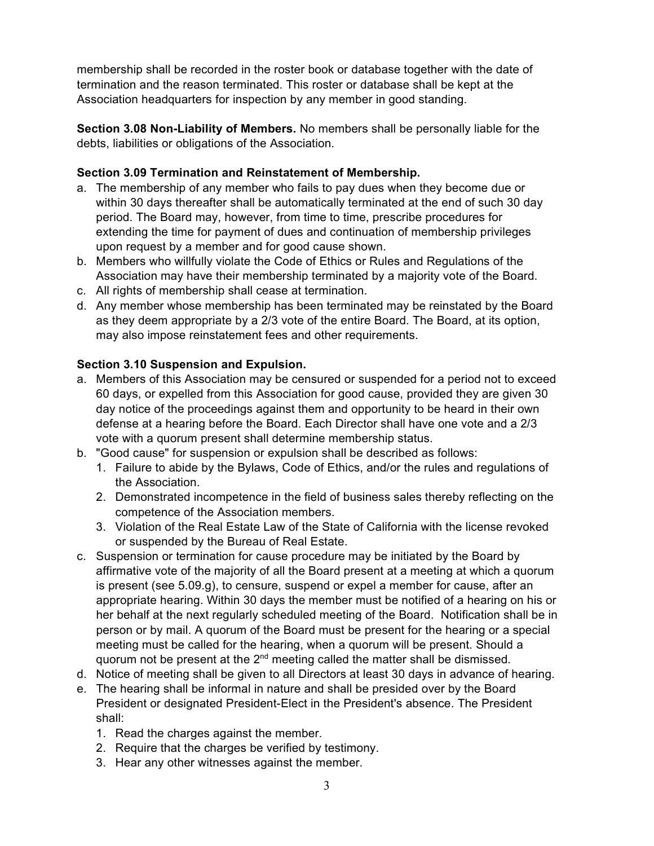membership shall be recorded in the roster book or database together with the date of termination and the reason terminated. This roster or database shall be kept at the Association headquarters for inspection by any member in good standing.

**Section 3.08 Non-Liability of Members.** No members shall be personally liable for the debts, liabilities or obligations of the Association.

## **Section 3.09 Termination and Reinstatement of Membership.**

- a. The membership of any member who fails to pay dues when they become due or within 30 days thereafter shall be automatically terminated at the end of such 30 day period. The Board may, however, from time to time, prescribe procedures for extending the time for payment of dues and continuation of membership privileges upon request by a member and for good cause shown.
- b. Members who willfully violate the Code of Ethics or Rules and Regulations of the Association may have their membership terminated by a majority vote of the Board.
- c. All rights of membership shall cease at termination.
- d. Any member whose membership has been terminated may be reinstated by the Board as they deem appropriate by a 2/3 vote of the entire Board. The Board, at its option, may also impose reinstatement fees and other requirements.

# **Section 3.10 Suspension and Expulsion.**

- a. Members of this Association may be censured or suspended for a period not to exceed 60 days, or expelled from this Association for good cause, provided they are given 30 day notice of the proceedings against them and opportunity to be heard in their own defense at a hearing before the Board. Each Director shall have one vote and a 2/3 vote with a quorum present shall determine membership status.
- b. "Good cause" for suspension or expulsion shall be described as follows:
	- 1. Failure to abide by the Bylaws, Code of Ethics, and/or the rules and regulations of the Association.
	- 2. Demonstrated incompetence in the field of business sales thereby reflecting on the competence of the Association members.
	- 3. Violation of the Real Estate Law of the State of California with the license revoked or suspended by the Bureau of Real Estate.
- c. Suspension or termination for cause procedure may be initiated by the Board by affirmative vote of the majority of all the Board present at a meeting at which a quorum is present (see 5.09.g), to censure, suspend or expel a member for cause, after an appropriate hearing. Within 30 days the member must be notified of a hearing on his or her behalf at the next regularly scheduled meeting of the Board. Notification shall be in person or by mail. A quorum of the Board must be present for the hearing or a special meeting must be called for the hearing, when a quorum will be present. Should a quorum not be present at the 2<sup>nd</sup> meeting called the matter shall be dismissed.
- d. Notice of meeting shall be given to all Directors at least 30 days in advance of hearing.
- e. The hearing shall be informal in nature and shall be presided over by the Board President or designated President-Elect in the President's absence. The President shall:
	- 1. Read the charges against the member.
	- 2. Require that the charges be verified by testimony.
	- 3. Hear any other witnesses against the member.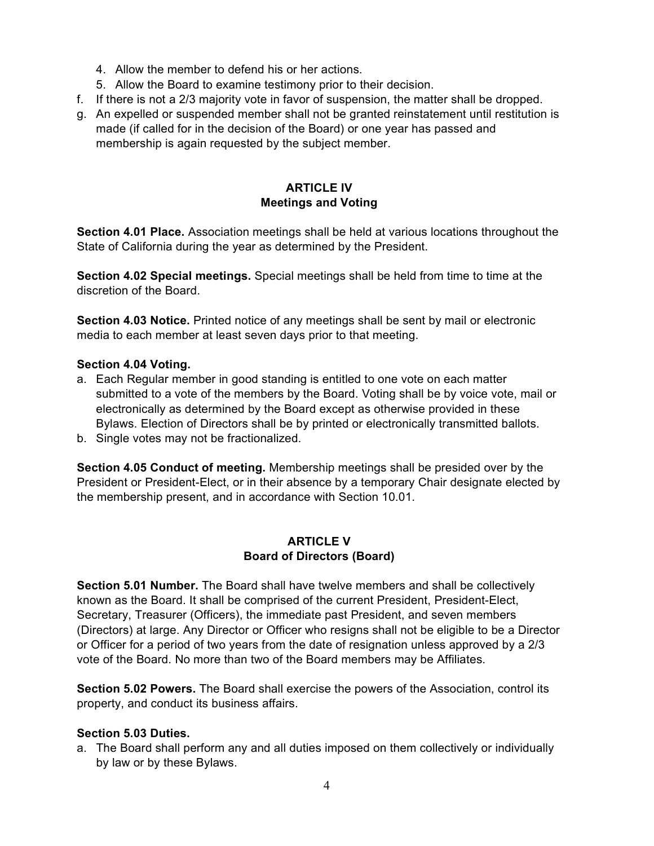- 4. Allow the member to defend his or her actions.
- 5. Allow the Board to examine testimony prior to their decision.
- f. If there is not a 2/3 majority vote in favor of suspension, the matter shall be dropped.
- g. An expelled or suspended member shall not be granted reinstatement until restitution is made (if called for in the decision of the Board) or one year has passed and membership is again requested by the subject member.

# **ARTICLE IV Meetings and Voting**

**Section 4.01 Place.** Association meetings shall be held at various locations throughout the State of California during the year as determined by the President.

**Section 4.02 Special meetings.** Special meetings shall be held from time to time at the discretion of the Board.

**Section 4.03 Notice.** Printed notice of any meetings shall be sent by mail or electronic media to each member at least seven days prior to that meeting.

#### **Section 4.04 Voting.**

- a. Each Regular member in good standing is entitled to one vote on each matter submitted to a vote of the members by the Board. Voting shall be by voice vote, mail or electronically as determined by the Board except as otherwise provided in these Bylaws. Election of Directors shall be by printed or electronically transmitted ballots.
- b. Single votes may not be fractionalized.

**Section 4.05 Conduct of meeting.** Membership meetings shall be presided over by the President or President-Elect, or in their absence by a temporary Chair designate elected by the membership present, and in accordance with Section 10.01.

#### **ARTICLE V Board of Directors (Board)**

**Section 5.01 Number.** The Board shall have twelve members and shall be collectively known as the Board. It shall be comprised of the current President, President-Elect, Secretary, Treasurer (Officers), the immediate past President, and seven members (Directors) at large. Any Director or Officer who resigns shall not be eligible to be a Director or Officer for a period of two years from the date of resignation unless approved by a 2/3 vote of the Board. No more than two of the Board members may be Affiliates.

**Section 5.02 Powers.** The Board shall exercise the powers of the Association, control its property, and conduct its business affairs.

#### **Section 5.03 Duties.**

a. The Board shall perform any and all duties imposed on them collectively or individually by law or by these Bylaws.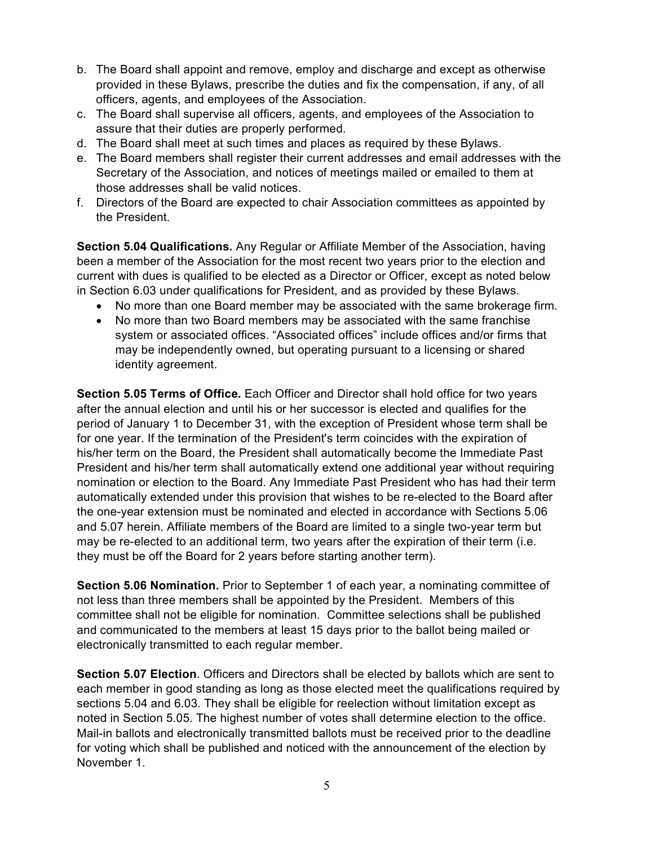- b. The Board shall appoint and remove, employ and discharge and except as otherwise provided in these Bylaws, prescribe the duties and fix the compensation, if any, of all officers, agents, and employees of the Association.
- c. The Board shall supervise all officers, agents, and employees of the Association to assure that their duties are properly performed.
- d. The Board shall meet at such times and places as required by these Bylaws.
- e. The Board members shall register their current addresses and email addresses with the Secretary of the Association, and notices of meetings mailed or emailed to them at those addresses shall be valid notices.
- f. Directors of the Board are expected to chair Association committees as appointed by the President.

**Section 5.04 Qualifications.** Any Regular or Affiliate Member of the Association, having been a member of the Association for the most recent two years prior to the election and current with dues is qualified to be elected as a Director or Officer, except as noted below in Section 6.03 under qualifications for President, and as provided by these Bylaws.

- No more than one Board member may be associated with the same brokerage firm.
- No more than two Board members may be associated with the same franchise system or associated offices. "Associated offices" include offices and/or firms that may be independently owned, but operating pursuant to a licensing or shared identity agreement.

**Section 5.05 Terms of Office.** Each Officer and Director shall hold office for two years after the annual election and until his or her successor is elected and qualifies for the period of January 1 to December 31, with the exception of President whose term shall be for one year. If the termination of the President's term coincides with the expiration of his/her term on the Board, the President shall automatically become the Immediate Past President and his/her term shall automatically extend one additional year without requiring nomination or election to the Board. Any Immediate Past President who has had their term automatically extended under this provision that wishes to be re-elected to the Board after the one-year extension must be nominated and elected in accordance with Sections 5.06 and 5.07 herein. Affiliate members of the Board are limited to a single two-year term but may be re-elected to an additional term, two years after the expiration of their term (i.e. they must be off the Board for 2 years before starting another term).

**Section 5.06 Nomination.** Prior to September 1 of each year, a nominating committee of not less than three members shall be appointed by the President. Members of this committee shall not be eligible for nomination. Committee selections shall be published and communicated to the members at least 15 days prior to the ballot being mailed or electronically transmitted to each regular member.

**Section 5.07 Election**. Officers and Directors shall be elected by ballots which are sent to each member in good standing as long as those elected meet the qualifications required by sections 5.04 and 6.03. They shall be eligible for reelection without limitation except as noted in Section 5.05. The highest number of votes shall determine election to the office. Mail-in ballots and electronically transmitted ballots must be received prior to the deadline for voting which shall be published and noticed with the announcement of the election by November 1.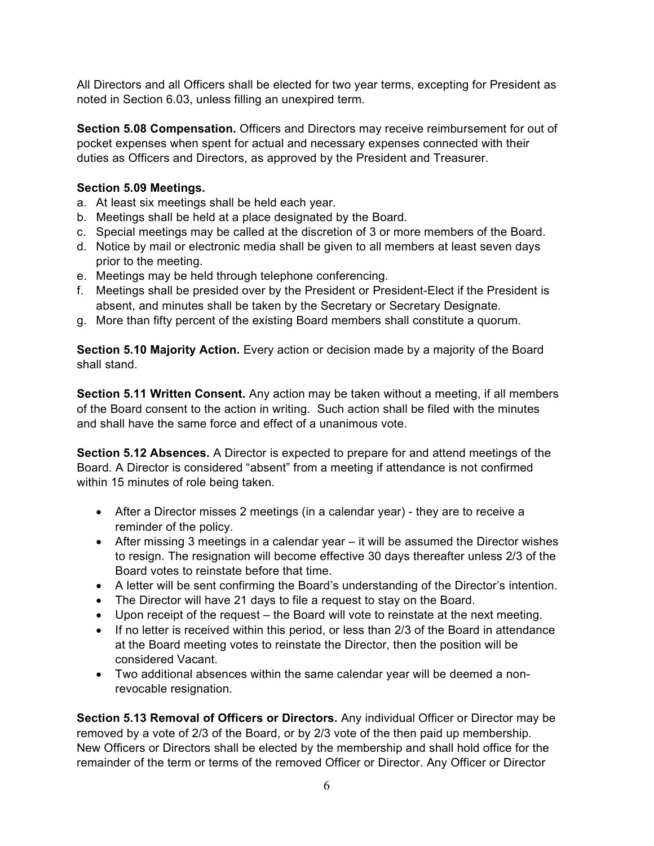All Directors and all Officers shall be elected for two year terms, excepting for President as noted in Section 6.03, unless filling an unexpired term.

**Section 5.08 Compensation.** Officers and Directors may receive reimbursement for out of pocket expenses when spent for actual and necessary expenses connected with their duties as Officers and Directors, as approved by the President and Treasurer.

# **Section 5.09 Meetings.**

- a. At least six meetings shall be held each year.
- b. Meetings shall be held at a place designated by the Board.
- c. Special meetings may be called at the discretion of 3 or more members of the Board.
- d. Notice by mail or electronic media shall be given to all members at least seven days prior to the meeting.
- e. Meetings may be held through telephone conferencing.
- f. Meetings shall be presided over by the President or President-Elect if the President is absent, and minutes shall be taken by the Secretary or Secretary Designate.
- g. More than fifty percent of the existing Board members shall constitute a quorum.

**Section 5.10 Majority Action.** Every action or decision made by a majority of the Board shall stand.

**Section 5.11 Written Consent.** Any action may be taken without a meeting, if all members of the Board consent to the action in writing. Such action shall be filed with the minutes and shall have the same force and effect of a unanimous vote.

**Section 5.12 Absences.** A Director is expected to prepare for and attend meetings of the Board. A Director is considered "absent" from a meeting if attendance is not confirmed within 15 minutes of role being taken.

- After a Director misses 2 meetings (in a calendar year) they are to receive a reminder of the policy.
- After missing 3 meetings in a calendar year it will be assumed the Director wishes to resign. The resignation will become effective 30 days thereafter unless 2/3 of the Board votes to reinstate before that time.
- A letter will be sent confirming the Board's understanding of the Director's intention.
- The Director will have 21 days to file a request to stay on the Board.
- Upon receipt of the request the Board will vote to reinstate at the next meeting.
- If no letter is received within this period, or less than 2/3 of the Board in attendance at the Board meeting votes to reinstate the Director, then the position will be considered Vacant.
- Two additional absences within the same calendar year will be deemed a nonrevocable resignation.

**Section 5.13 Removal of Officers or Directors.** Any individual Officer or Director may be removed by a vote of 2/3 of the Board, or by 2/3 vote of the then paid up membership. New Officers or Directors shall be elected by the membership and shall hold office for the remainder of the term or terms of the removed Officer or Director. Any Officer or Director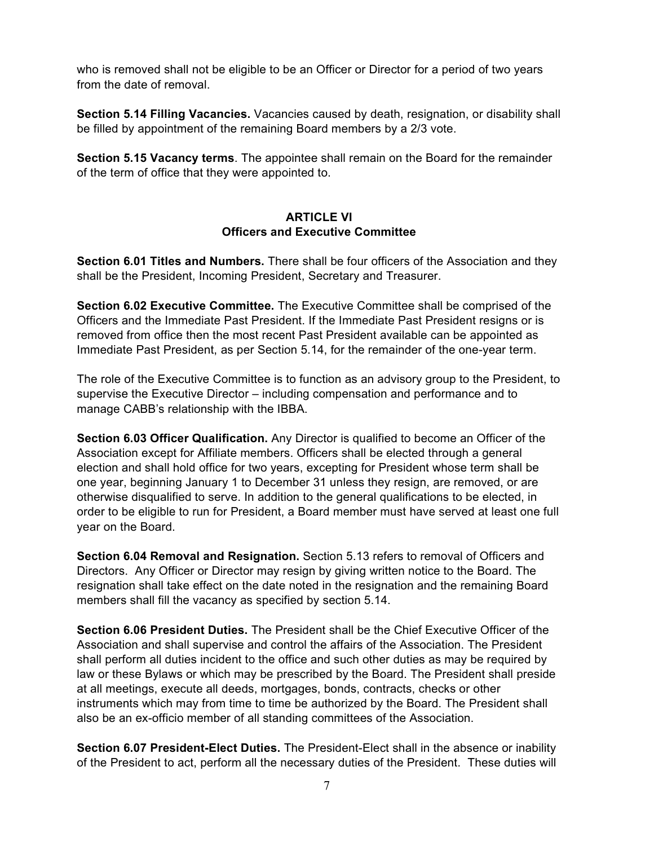who is removed shall not be eligible to be an Officer or Director for a period of two years from the date of removal.

**Section 5.14 Filling Vacancies.** Vacancies caused by death, resignation, or disability shall be filled by appointment of the remaining Board members by a 2/3 vote.

**Section 5.15 Vacancy terms**. The appointee shall remain on the Board for the remainder of the term of office that they were appointed to.

## **ARTICLE VI Officers and Executive Committee**

**Section 6.01 Titles and Numbers.** There shall be four officers of the Association and they shall be the President, Incoming President, Secretary and Treasurer.

**Section 6.02 Executive Committee.** The Executive Committee shall be comprised of the Officers and the Immediate Past President. If the Immediate Past President resigns or is removed from office then the most recent Past President available can be appointed as Immediate Past President, as per Section 5.14, for the remainder of the one-year term.

The role of the Executive Committee is to function as an advisory group to the President, to supervise the Executive Director – including compensation and performance and to manage CABB's relationship with the IBBA.

**Section 6.03 Officer Qualification.** Any Director is qualified to become an Officer of the Association except for Affiliate members. Officers shall be elected through a general election and shall hold office for two years, excepting for President whose term shall be one year, beginning January 1 to December 31 unless they resign, are removed, or are otherwise disqualified to serve. In addition to the general qualifications to be elected, in order to be eligible to run for President, a Board member must have served at least one full year on the Board.

**Section 6.04 Removal and Resignation.** Section 5.13 refers to removal of Officers and Directors. Any Officer or Director may resign by giving written notice to the Board. The resignation shall take effect on the date noted in the resignation and the remaining Board members shall fill the vacancy as specified by section 5.14.

**Section 6.06 President Duties.** The President shall be the Chief Executive Officer of the Association and shall supervise and control the affairs of the Association. The President shall perform all duties incident to the office and such other duties as may be required by law or these Bylaws or which may be prescribed by the Board. The President shall preside at all meetings, execute all deeds, mortgages, bonds, contracts, checks or other instruments which may from time to time be authorized by the Board. The President shall also be an ex-officio member of all standing committees of the Association.

**Section 6.07 President-Elect Duties.** The President-Elect shall in the absence or inability of the President to act, perform all the necessary duties of the President. These duties will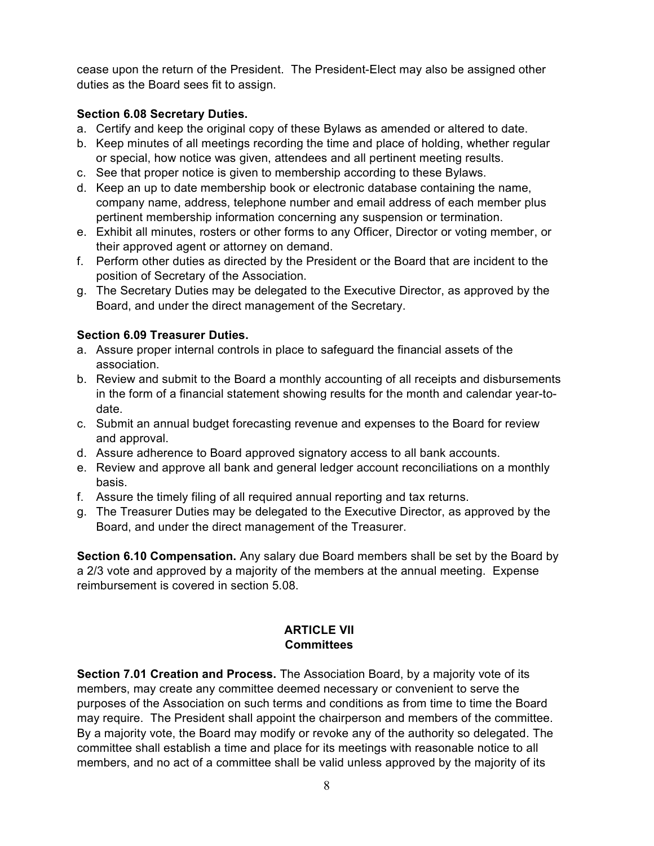cease upon the return of the President. The President-Elect may also be assigned other duties as the Board sees fit to assign.

# **Section 6.08 Secretary Duties.**

- a. Certify and keep the original copy of these Bylaws as amended or altered to date.
- b. Keep minutes of all meetings recording the time and place of holding, whether regular or special, how notice was given, attendees and all pertinent meeting results.
- c. See that proper notice is given to membership according to these Bylaws.
- d. Keep an up to date membership book or electronic database containing the name, company name, address, telephone number and email address of each member plus pertinent membership information concerning any suspension or termination.
- e. Exhibit all minutes, rosters or other forms to any Officer, Director or voting member, or their approved agent or attorney on demand.
- f. Perform other duties as directed by the President or the Board that are incident to the position of Secretary of the Association.
- g. The Secretary Duties may be delegated to the Executive Director, as approved by the Board, and under the direct management of the Secretary.

### **Section 6.09 Treasurer Duties.**

- a. Assure proper internal controls in place to safeguard the financial assets of the association.
- b. Review and submit to the Board a monthly accounting of all receipts and disbursements in the form of a financial statement showing results for the month and calendar year-todate.
- c. Submit an annual budget forecasting revenue and expenses to the Board for review and approval.
- d. Assure adherence to Board approved signatory access to all bank accounts.
- e. Review and approve all bank and general ledger account reconciliations on a monthly basis.
- f. Assure the timely filing of all required annual reporting and tax returns.
- g. The Treasurer Duties may be delegated to the Executive Director, as approved by the Board, and under the direct management of the Treasurer.

**Section 6.10 Compensation.** Any salary due Board members shall be set by the Board by a 2/3 vote and approved by a majority of the members at the annual meeting. Expense reimbursement is covered in section 5.08.

# **ARTICLE VII Committees**

**Section 7.01 Creation and Process.** The Association Board, by a majority vote of its members, may create any committee deemed necessary or convenient to serve the purposes of the Association on such terms and conditions as from time to time the Board may require. The President shall appoint the chairperson and members of the committee. By a majority vote, the Board may modify or revoke any of the authority so delegated. The committee shall establish a time and place for its meetings with reasonable notice to all members, and no act of a committee shall be valid unless approved by the majority of its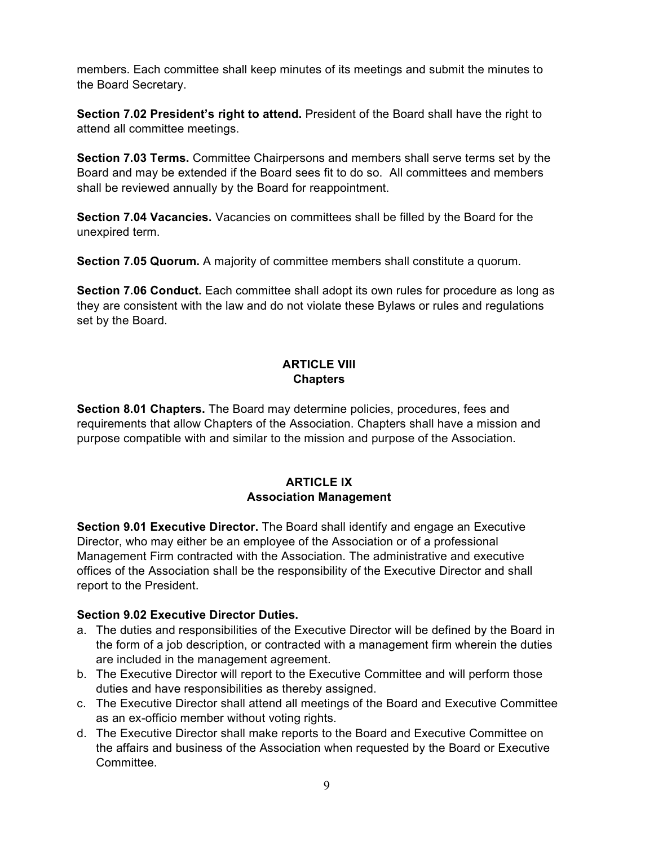members. Each committee shall keep minutes of its meetings and submit the minutes to the Board Secretary.

**Section 7.02 President's right to attend.** President of the Board shall have the right to attend all committee meetings.

**Section 7.03 Terms.** Committee Chairpersons and members shall serve terms set by the Board and may be extended if the Board sees fit to do so. All committees and members shall be reviewed annually by the Board for reappointment.

**Section 7.04 Vacancies.** Vacancies on committees shall be filled by the Board for the unexpired term.

**Section 7.05 Quorum.** A majority of committee members shall constitute a quorum.

**Section 7.06 Conduct.** Each committee shall adopt its own rules for procedure as long as they are consistent with the law and do not violate these Bylaws or rules and regulations set by the Board.

# **ARTICLE VIII Chapters**

**Section 8.01 Chapters.** The Board may determine policies, procedures, fees and requirements that allow Chapters of the Association. Chapters shall have a mission and purpose compatible with and similar to the mission and purpose of the Association.

# **ARTICLE IX Association Management**

**Section 9.01 Executive Director.** The Board shall identify and engage an Executive Director, who may either be an employee of the Association or of a professional Management Firm contracted with the Association. The administrative and executive offices of the Association shall be the responsibility of the Executive Director and shall report to the President.

# **Section 9.02 Executive Director Duties.**

- a. The duties and responsibilities of the Executive Director will be defined by the Board in the form of a job description, or contracted with a management firm wherein the duties are included in the management agreement.
- b. The Executive Director will report to the Executive Committee and will perform those duties and have responsibilities as thereby assigned.
- c. The Executive Director shall attend all meetings of the Board and Executive Committee as an ex-officio member without voting rights.
- d. The Executive Director shall make reports to the Board and Executive Committee on the affairs and business of the Association when requested by the Board or Executive **Committee**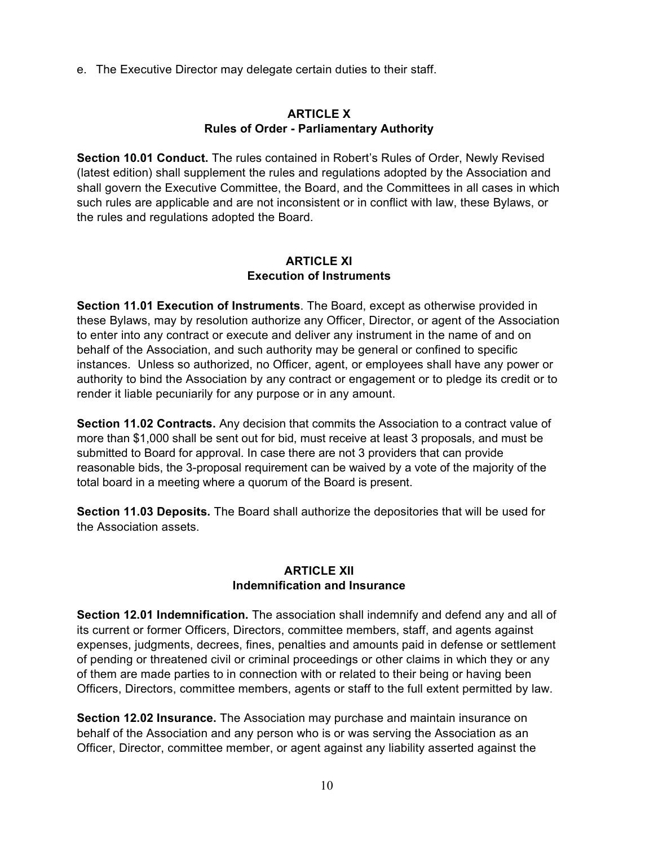e. The Executive Director may delegate certain duties to their staff.

#### **ARTICLE X Rules of Order - Parliamentary Authority**

**Section 10.01 Conduct.** The rules contained in Robert's Rules of Order, Newly Revised (latest edition) shall supplement the rules and regulations adopted by the Association and shall govern the Executive Committee, the Board, and the Committees in all cases in which such rules are applicable and are not inconsistent or in conflict with law, these Bylaws, or the rules and regulations adopted the Board.

### **ARTICLE XI Execution of Instruments**

**Section 11.01 Execution of Instruments**. The Board, except as otherwise provided in these Bylaws, may by resolution authorize any Officer, Director, or agent of the Association to enter into any contract or execute and deliver any instrument in the name of and on behalf of the Association, and such authority may be general or confined to specific instances. Unless so authorized, no Officer, agent, or employees shall have any power or authority to bind the Association by any contract or engagement or to pledge its credit or to render it liable pecuniarily for any purpose or in any amount.

**Section 11.02 Contracts.** Any decision that commits the Association to a contract value of more than \$1,000 shall be sent out for bid, must receive at least 3 proposals, and must be submitted to Board for approval. In case there are not 3 providers that can provide reasonable bids, the 3-proposal requirement can be waived by a vote of the majority of the total board in a meeting where a quorum of the Board is present.

**Section 11.03 Deposits.** The Board shall authorize the depositories that will be used for the Association assets.

#### **ARTICLE XII Indemnification and Insurance**

**Section 12.01 Indemnification.** The association shall indemnify and defend any and all of its current or former Officers, Directors, committee members, staff, and agents against expenses, judgments, decrees, fines, penalties and amounts paid in defense or settlement of pending or threatened civil or criminal proceedings or other claims in which they or any of them are made parties to in connection with or related to their being or having been Officers, Directors, committee members, agents or staff to the full extent permitted by law.

**Section 12.02 Insurance.** The Association may purchase and maintain insurance on behalf of the Association and any person who is or was serving the Association as an Officer, Director, committee member, or agent against any liability asserted against the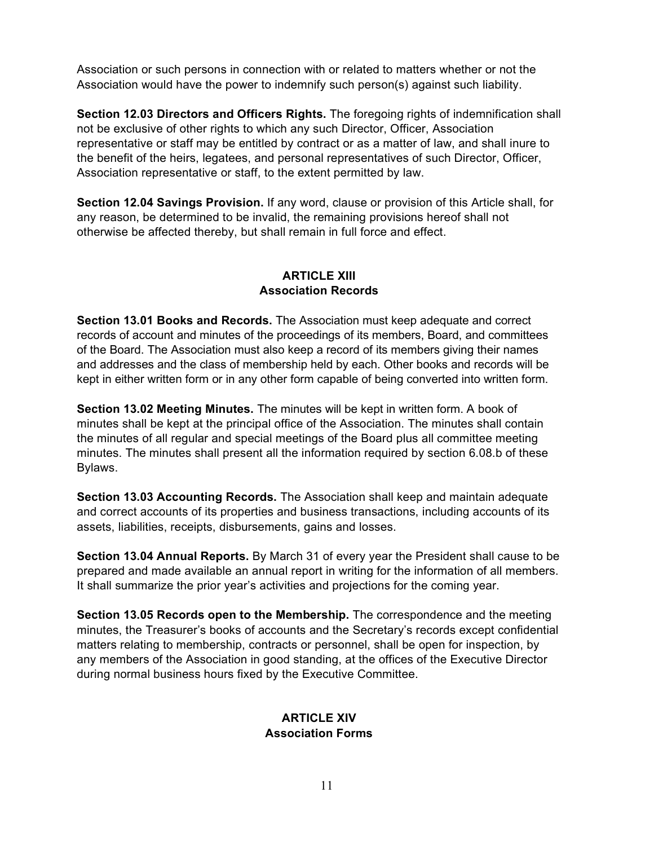Association or such persons in connection with or related to matters whether or not the Association would have the power to indemnify such person(s) against such liability.

**Section 12.03 Directors and Officers Rights.** The foregoing rights of indemnification shall not be exclusive of other rights to which any such Director, Officer, Association representative or staff may be entitled by contract or as a matter of law, and shall inure to the benefit of the heirs, legatees, and personal representatives of such Director, Officer, Association representative or staff, to the extent permitted by law.

**Section 12.04 Savings Provision.** If any word, clause or provision of this Article shall, for any reason, be determined to be invalid, the remaining provisions hereof shall not otherwise be affected thereby, but shall remain in full force and effect.

## **ARTICLE XIII Association Records**

**Section 13.01 Books and Records.** The Association must keep adequate and correct records of account and minutes of the proceedings of its members, Board, and committees of the Board. The Association must also keep a record of its members giving their names and addresses and the class of membership held by each. Other books and records will be kept in either written form or in any other form capable of being converted into written form.

**Section 13.02 Meeting Minutes.** The minutes will be kept in written form. A book of minutes shall be kept at the principal office of the Association. The minutes shall contain the minutes of all regular and special meetings of the Board plus all committee meeting minutes. The minutes shall present all the information required by section 6.08.b of these Bylaws.

**Section 13.03 Accounting Records.** The Association shall keep and maintain adequate and correct accounts of its properties and business transactions, including accounts of its assets, liabilities, receipts, disbursements, gains and losses.

**Section 13.04 Annual Reports.** By March 31 of every year the President shall cause to be prepared and made available an annual report in writing for the information of all members. It shall summarize the prior year's activities and projections for the coming year.

**Section 13.05 Records open to the Membership.** The correspondence and the meeting minutes, the Treasurer's books of accounts and the Secretary's records except confidential matters relating to membership, contracts or personnel, shall be open for inspection, by any members of the Association in good standing, at the offices of the Executive Director during normal business hours fixed by the Executive Committee.

### **ARTICLE XIV Association Forms**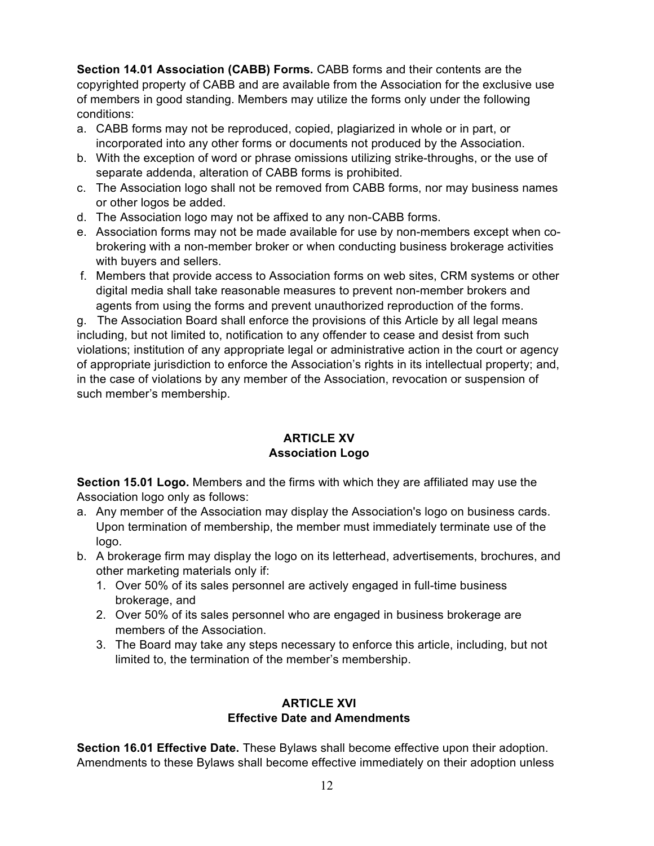**Section 14.01 Association (CABB) Forms.** CABB forms and their contents are the copyrighted property of CABB and are available from the Association for the exclusive use of members in good standing. Members may utilize the forms only under the following conditions:

- a. CABB forms may not be reproduced, copied, plagiarized in whole or in part, or incorporated into any other forms or documents not produced by the Association.
- b. With the exception of word or phrase omissions utilizing strike-throughs, or the use of separate addenda, alteration of CABB forms is prohibited.
- c. The Association logo shall not be removed from CABB forms, nor may business names or other logos be added.
- d. The Association logo may not be affixed to any non-CABB forms.
- e. Association forms may not be made available for use by non-members except when cobrokering with a non-member broker or when conducting business brokerage activities with buyers and sellers.
- f. Members that provide access to Association forms on web sites, CRM systems or other digital media shall take reasonable measures to prevent non-member brokers and agents from using the forms and prevent unauthorized reproduction of the forms.

g. The Association Board shall enforce the provisions of this Article by all legal means including, but not limited to, notification to any offender to cease and desist from such violations; institution of any appropriate legal or administrative action in the court or agency of appropriate jurisdiction to enforce the Association's rights in its intellectual property; and, in the case of violations by any member of the Association, revocation or suspension of such member's membership.

# **ARTICLE XV Association Logo**

**Section 15.01 Logo.** Members and the firms with which they are affiliated may use the Association logo only as follows:

- a. Any member of the Association may display the Association's logo on business cards. Upon termination of membership, the member must immediately terminate use of the logo.
- b. A brokerage firm may display the logo on its letterhead, advertisements, brochures, and other marketing materials only if:
	- 1. Over 50% of its sales personnel are actively engaged in full-time business brokerage, and
	- 2. Over 50% of its sales personnel who are engaged in business brokerage are members of the Association.
	- 3. The Board may take any steps necessary to enforce this article, including, but not limited to, the termination of the member's membership.

# **ARTICLE XVI Effective Date and Amendments**

**Section 16.01 Effective Date.** These Bylaws shall become effective upon their adoption. Amendments to these Bylaws shall become effective immediately on their adoption unless